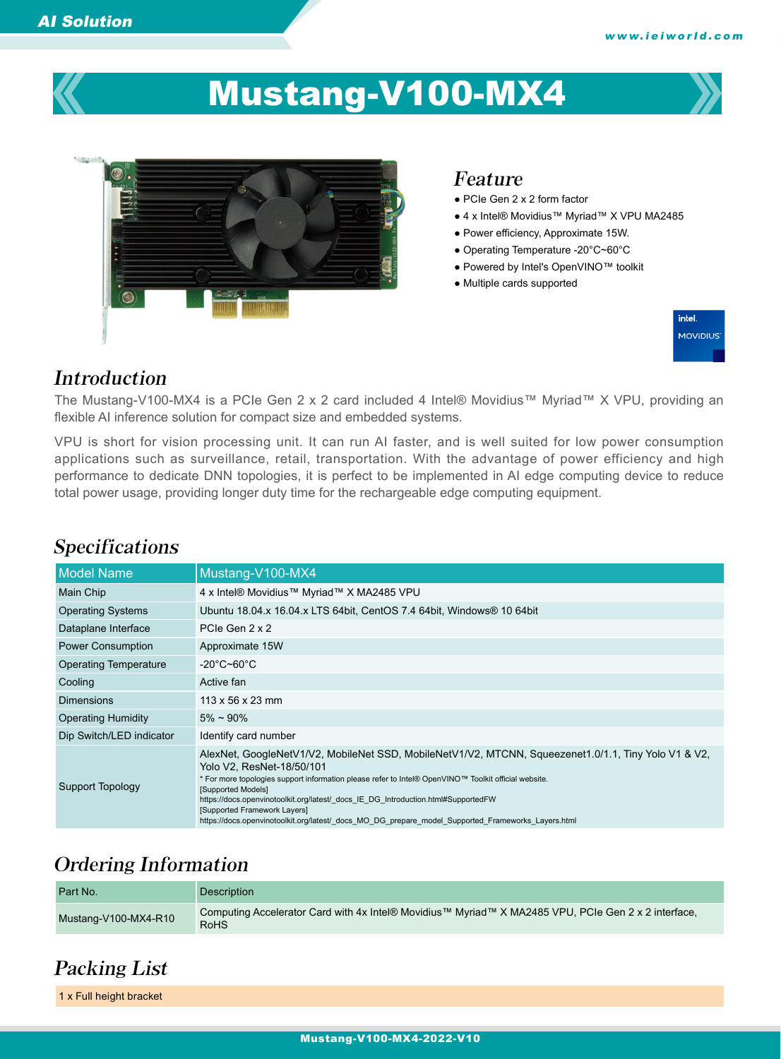

# Mustang-V100-MX4



#### Feature

- PCIe Gen 2 x 2 form factor
- 4 x Intel® Movidius™ Myriad™ X VPU MA2485
- Power efficiency, Approximate 15W.
- Operating Temperature -20°C~60°C
- Powered by Intel's OpenVINO™ toolkit
- Multiple cards supported



#### Introduction

Specifications

The Mustang-V100-MX4 is a PCIe Gen 2 x 2 card included 4 Intel® Movidius™ Myriad™ X VPU, providing an flexible AI inference solution for compact size and embedded systems.

VPU is short for vision processing unit. It can run AI faster, and is well suited for low power consumption applications such as surveillance, retail, transportation. With the advantage of power efficiency and high performance to dedicate DNN topologies, it is perfect to be implemented in AI edge computing device to reduce total power usage, providing longer duty time for the rechargeable edge computing equipment.

#### Model Name Mustang-V100-MX4 Main Chip 4 x Intel® Movidius™ Myriad™ X MA2485 VPU Operating Systems Ubuntu 18.04.x 16.04.x LTS 64bit, CentOS 7.4 64bit, Windows® 10 64bit Dataplane Interface PCIe Gen 2 x 2 Power Consumption Approximate 15W Operating Temperature -20°C~60°C Cooling **Active fan** Dimensions 113 x 56 x 23 mm Operating Humidity 5% ~ 90% Dip Switch/LED indicator Identify card number Support Topology AlexNet, GoogleNetV1/V2, MobileNet SSD, MobileNetV1/V2, MTCNN, Squeezenet1.0/1.1, Tiny Yolo V1 & V2, Yolo V2, ResNet-18/50/101 \* For more topologies support information please refer to Intel® OpenVINO™ Toolkit official website. [Supported Models] https://docs.openvinotoolkit.org/latest/\_docs\_IE\_DG\_Introduction.html#SupportedFW [Supported Framework Layers] https://docs.openvinotoolkit.org/latest/\_docs\_MO\_DG\_prepare\_model\_Supported\_Frameworks\_Layers.html

# Ordering Information

| Part No.             | <b>Description</b>                                                                                          |
|----------------------|-------------------------------------------------------------------------------------------------------------|
| Mustang-V100-MX4-R10 | Computing Accelerator Card with 4x Intel® Movidius™ Myriad™ X MA2485 VPU, PCIe Gen 2 x 2 interface,<br>RoHS |

## Packing List

1 x Full height bracket

#### Mustang-V100-MX4-2022-V10